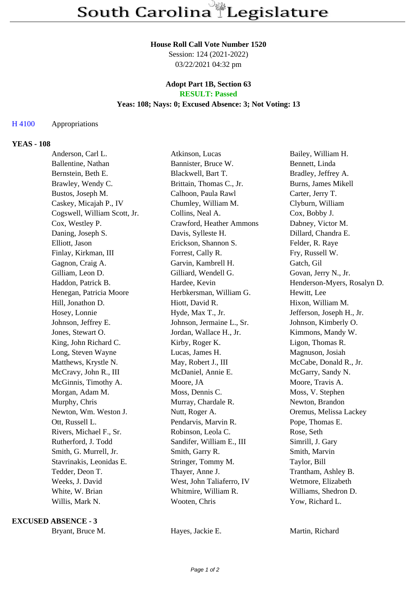#### **House Roll Call Vote Number 1520**

Session: 124 (2021-2022) 03/22/2021 04:32 pm

## **Adopt Part 1B, Section 63 RESULT: Passed**

## **Yeas: 108; Nays: 0; Excused Absence: 3; Not Voting: 13**

## H 4100 Appropriations

#### **YEAS - 108**

| Anderson, Carl L.            | Atkinson, Lucas           | Bailey, William H.          |
|------------------------------|---------------------------|-----------------------------|
| Ballentine, Nathan           | Bannister, Bruce W.       | Bennett, Linda              |
| Bernstein, Beth E.           | Blackwell, Bart T.        | Bradley, Jeffrey A.         |
| Brawley, Wendy C.            | Brittain, Thomas C., Jr.  | Burns, James Mikell         |
| Bustos, Joseph M.            | Calhoon, Paula Rawl       | Carter, Jerry T.            |
| Caskey, Micajah P., IV       | Chumley, William M.       | Clyburn, William            |
| Cogswell, William Scott, Jr. | Collins, Neal A.          | Cox, Bobby J.               |
| Cox, Westley P.              | Crawford, Heather Ammons  | Dabney, Victor M.           |
| Daning, Joseph S.            | Davis, Sylleste H.        | Dillard, Chandra E.         |
| Elliott, Jason               | Erickson, Shannon S.      | Felder, R. Raye             |
| Finlay, Kirkman, III         | Forrest, Cally R.         | Fry, Russell W.             |
| Gagnon, Craig A.             | Garvin, Kambrell H.       | Gatch, Gil                  |
| Gilliam, Leon D.             | Gilliard, Wendell G.      | Govan, Jerry N., Jr.        |
| Haddon, Patrick B.           | Hardee, Kevin             | Henderson-Myers, Rosalyn D. |
| Henegan, Patricia Moore      | Herbkersman, William G.   | Hewitt, Lee                 |
| Hill, Jonathon D.            | Hiott, David R.           | Hixon, William M.           |
| Hosey, Lonnie                | Hyde, Max T., Jr.         | Jefferson, Joseph H., Jr.   |
| Johnson, Jeffrey E.          | Johnson, Jermaine L., Sr. | Johnson, Kimberly O.        |
| Jones, Stewart O.            | Jordan, Wallace H., Jr.   | Kimmons, Mandy W.           |
| King, John Richard C.        | Kirby, Roger K.           | Ligon, Thomas R.            |
| Long, Steven Wayne           | Lucas, James H.           | Magnuson, Josiah            |
| Matthews, Krystle N.         | May, Robert J., III       | McCabe, Donald R., Jr.      |
| McCravy, John R., III        | McDaniel, Annie E.        | McGarry, Sandy N.           |
| McGinnis, Timothy A.         | Moore, JA                 | Moore, Travis A.            |
| Morgan, Adam M.              | Moss, Dennis C.           | Moss, V. Stephen            |
| Murphy, Chris                | Murray, Chardale R.       | Newton, Brandon             |
| Newton, Wm. Weston J.        | Nutt, Roger A.            | Oremus, Melissa Lackey      |
| Ott, Russell L.              | Pendarvis, Marvin R.      | Pope, Thomas E.             |
| Rivers, Michael F., Sr.      | Robinson, Leola C.        | Rose, Seth                  |
| Rutherford, J. Todd          | Sandifer, William E., III | Simrill, J. Gary            |
| Smith, G. Murrell, Jr.       | Smith, Garry R.           | Smith, Marvin               |
| Stavrinakis, Leonidas E.     | Stringer, Tommy M.        | Taylor, Bill                |
| Tedder, Deon T.              | Thayer, Anne J.           | Trantham, Ashley B.         |
| Weeks, J. David              | West, John Taliaferro, IV | Wetmore, Elizabeth          |
| White, W. Brian              | Whitmire, William R.      | Williams, Shedron D.        |
| Willis, Mark N.              | Wooten, Chris             | Yow, Richard L.             |
|                              |                           |                             |

#### **EXCUSED ABSENCE - 3**

Bryant, Bruce M. **Hayes, Jackie E.** Martin, Richard